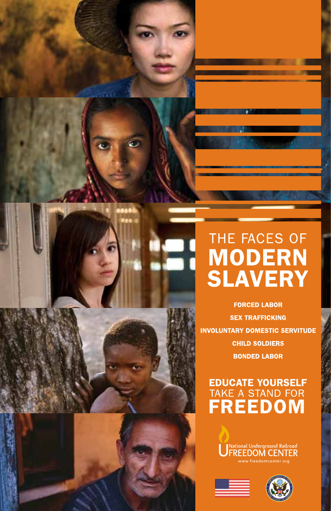# THE FACES OF **MODERN SLAVERY**

**FORCED LABOR SEX TRAFFICKING INVOLUNTARY DOMESTIC SERVITUDE CHILD SOLDIERS BONDED LABOR** 

# **EDUCATE YOURSELF** TAKE A STAND FOR





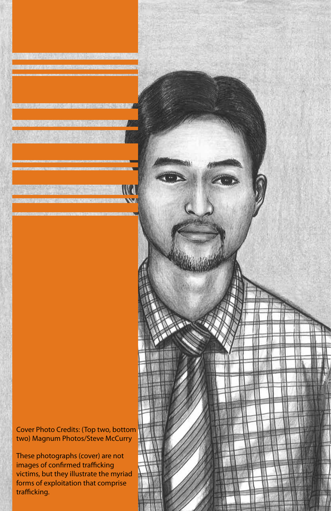ver Frioto Credits: (Top two, bottom two) Magnum Photos/Steve McCurry two) Magnum Photos/Steve McCurry Cover Photo Credits: (Top two, bottom

These photographs (cover) are not images of confirmed trafficking images of confirmed trafficking victims, but they illustrate the myriad  $v_{\text{max}}$ , but they indstrate the myriad forms of exploitation that comprise<br>trafficlies trafficking. trafficking.These photographs (cover) are not

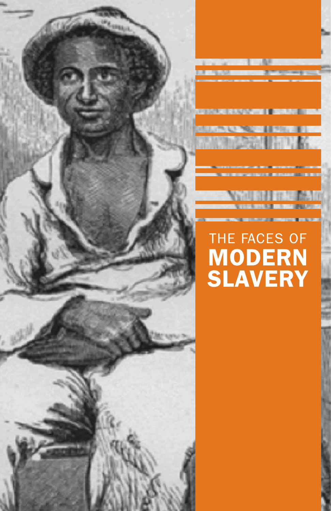

# THE FACES OF **MODERN**<br>SLAVERY

**Maceda** 

**CHART THE TOUR DAYS**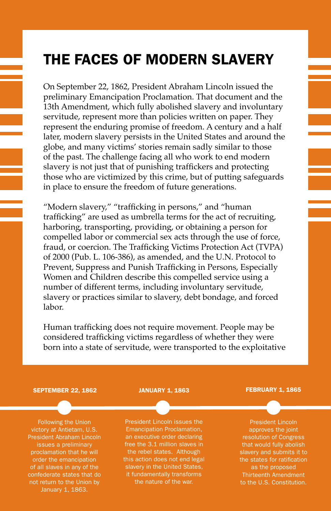# The Faces of Modern Slavery

On September 22, 1862, President Abraham Lincoln issued the preliminary Emancipation Proclamation. That document and the 13th Amendment, which fully abolished slavery and involuntary servitude, represent more than policies written on paper. They represent the enduring promise of freedom. A century and a half later, modern slavery persists in the United States and around the globe, and many victims' stories remain sadly similar to those of the past. The challenge facing all who work to end modern slavery is not just that of punishing traffickers and protecting those who are victimized by this crime, but of putting safeguards in place to ensure the freedom of future generations.

"Modern slavery," "trafficking in persons," and "human trafficking" are used as umbrella terms for the act of recruiting, harboring, transporting, providing, or obtaining a person for compelled labor or commercial sex acts through the use of force, fraud, or coercion. The Trafficking Victims Protection Act (TVPA) of 2000 (Pub. L. 106-386), as amended, and the U.N. Protocol to Prevent, Suppress and Punish Trafficking in Persons, Especially Women and Children describe this compelled service using a number of different terms, including involuntary servitude, slavery or practices similar to slavery, debt bondage, and forced labor.

Human trafficking does not require movement. People may be considered trafficking victims regardless of whether they were born into a state of servitude, were transported to the exploitative

#### September 22, 1862

Following the Union victory at Antietam, U.S. President Abraham Lincoln issues a preliminary proclamation that he will order the emancipation of all slaves in any of the confederate states that do not return to the Union by January 1, 1863.

#### January 1, 1863

President Lincoln issues the Emancipation Proclamation, an executive order declaring free the 3.1 million slaves in the rebel states. Although this action does not end legal slavery in the United States, it fundamentally transforms the nature of the war.

#### FEBRUARY 1, 1865

President Lincoln approves the joint resolution of Congress that would fully abolish slavery and submits it to as the proposed Thirteenth Amendment to the U.S. Constitution.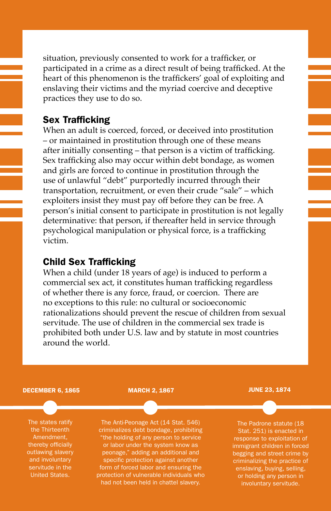situation, previously consented to work for a trafficker, or participated in a crime as a direct result of being trafficked. At the heart of this phenomenon is the traffickers' goal of exploiting and enslaving their victims and the myriad coercive and deceptive practices they use to do so.

### Sex Trafficking

When an adult is coerced, forced, or deceived into prostitution – or maintained in prostitution through one of these means after initially consenting – that person is a victim of trafficking. Sex trafficking also may occur within debt bondage, as women and girls are forced to continue in prostitution through the use of unlawful "debt" purportedly incurred through their transportation, recruitment, or even their crude "sale" – which exploiters insist they must pay off before they can be free. A person's initial consent to participate in prostitution is not legally determinative: that person, if thereafter held in service through psychological manipulation or physical force, is a trafficking victim.

### Child Sex Trafficking

When a child (under 18 years of age) is induced to perform a commercial sex act, it constitutes human trafficking regardless of whether there is any force, fraud, or coercion. There are no exceptions to this rule: no cultural or socioeconomic rationalizations should prevent the rescue of children from sexual servitude. The use of children in the commercial sex trade is prohibited both under U.S. law and by statute in most countries around the world.

#### DECEMBER 6, 1865

The states ratify the Thirteenth Amendment, thereby officially outlawing slavery and involuntary servitude in the United States.

MARCH 2, 1867

The Anti-Peonage Act (14 Stat. 546) criminalizes debt bondage, prohibiting "the holding of any person to service or labor under the system know as peonage," adding an additional and specific protection against another form of forced labor and ensuring the protection of vulnerable individuals who had not been held in chattel slavery.

JUNE 23, 1874

The Padrone statute (18 Stat. 251) is enacted in response to exploitation of immigrant children in forced begging and street crime by criminalizing the practice of enslaving, buying, selling, or holding any person in involuntary servitude.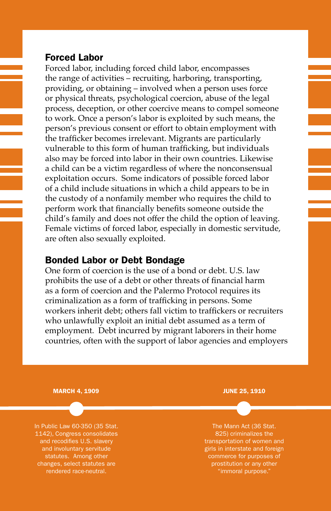### Forced Labor

Forced labor, including forced child labor, encompasses the range of activities – recruiting, harboring, transporting, providing, or obtaining – involved when a person uses force or physical threats, psychological coercion, abuse of the legal process, deception, or other coercive means to compel someone to work. Once a person's labor is exploited by such means, the person's previous consent or effort to obtain employment with the trafficker becomes irrelevant. Migrants are particularly vulnerable to this form of human trafficking, but individuals also may be forced into labor in their own countries. Likewise a child can be a victim regardless of where the nonconsensual exploitation occurs. Some indicators of possible forced labor of a child include situations in which a child appears to be in the custody of a nonfamily member who requires the child to perform work that financially benefits someone outside the child's family and does not offer the child the option of leaving. Female victims of forced labor, especially in domestic servitude, are often also sexually exploited.

### Bonded Labor or Debt Bondage

One form of coercion is the use of a bond or debt. U.S. law prohibits the use of a debt or other threats of financial harm as a form of coercion and the Palermo Protocol requires its criminalization as a form of trafficking in persons. Some workers inherit debt; others fall victim to traffickers or recruiters who unlawfully exploit an initial debt assumed as a term of employment. Debt incurred by migrant laborers in their home countries, often with the support of labor agencies and employers

MARCH 4, 1909

In Public Law 60-350 (35 Stat. 1142), Congress consolidates and recodifies U.S. slavery and involuntary servitude statutes. Among other changes, select statutes are rendered race-neutral.

JUNE 25, 1910

The Mann Act (36 Stat. transportation of women and girls in interstate and foreign commerce for purposes of prostitution or any other "immoral purpose."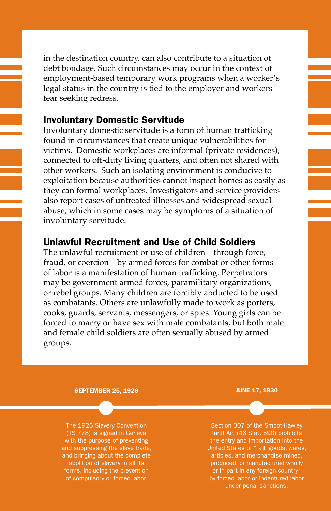in the destination country, can also contribute to a situation of debt bondage. Such circumstances may occur in the context of employment-based temporary work programs when a worker's legal status in the country is tied to the employer and workers fear seeking redress.

## Involuntary Domestic Servitude

Involuntary domestic servitude is a form of human trafficking found in circumstances that create unique vulnerabilities for victims. Domestic workplaces are informal (private residences), connected to off-duty living quarters, and often not shared with other workers. Such an isolating environment is conducive to exploitation because authorities cannot inspect homes as easily as they can formal workplaces. Investigators and service providers also report cases of untreated illnesses and widespread sexual abuse, which in some cases may be symptoms of a situation of involuntary servitude.

# Unlawful Recruitment and Use of Child Soldiers

The unlawful recruitment or use of children – through force, fraud, or coercion – by armed forces for combat or other forms of labor is a manifestation of human trafficking. Perpetrators may be government armed forces, paramilitary organizations, or rebel groups. Many children are forcibly abducted to be used as combatants. Others are unlawfully made to work as porters, cooks, guards, servants, messengers, or spies. Young girls can be forced to marry or have sex with male combatants, but both male and female child soldiers are often sexually abused by armed groups.

#### SEPTEMBER 25, 1926

The 1926 Slavery Convention (TS 778) is signed in Geneva with the purpose of preventing and suppressing the slave trade, and bringing about the complete abolition of slavery in all its forms, including the prevention of compulsory or forced labor.

JUNE 17, 1930

Section 307 of the Smoot-Hawley Tariff Act (46 Stat. 590) prohibits the entry and importation into the United States of "[a]ll goods, wares, articles, and merchandise mined, produced, or manufactured wholly or in part in any foreign country' by forced labor or indentured labor under penal sanctions.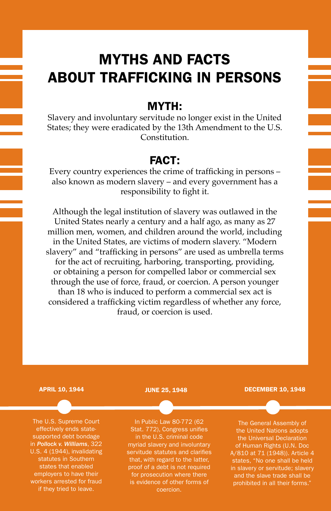# MYTHS and FACTS About Trafficking in Persons

# MYTH:

Slavery and involuntary servitude no longer exist in the United States; they were eradicated by the 13th Amendment to the U.S. Constitution.

# FACT:

Every country experiences the crime of trafficking in persons – also known as modern slavery – and every government has a responsibility to fight it.

Although the legal institution of slavery was outlawed in the United States nearly a century and a half ago, as many as 27 million men, women, and children around the world, including in the United States, are victims of modern slavery. "Modern slavery" and "trafficking in persons" are used as umbrella terms for the act of recruiting, harboring, transporting, providing, or obtaining a person for compelled labor or commercial sex through the use of force, fraud, or coercion. A person younger than 18 who is induced to perform a commercial sex act is considered a trafficking victim regardless of whether any force, fraud, or coercion is used.

#### APRIL 10, 1944

The U.S. Supreme Court effectively ends statesupported debt bondage in *Pollock v. Williams*, 322 U.S. 4 (1944), invalidating statutes in Southern states that enabled employers to have their workers arrested for fraud if they tried to leave.

#### JUNE 25, 1948

In Public Law 80-772 (62 Stat. 772), Congress unifies in the U.S. criminal code myriad slavery and involuntary servitude statutes and clarifies that, with regard to the latter, proof of a debt is not required for prosecution where there is evidence of other forms of coercion.

#### DECEMBER 10, 1948

The General Assembly of the United Nations adopts the Universal Declaration of Human Rights (U.N. Doc A/810 at 71 (1948)). Article 4 states, "No one shall be held in slavery or servitude; slavery and the slave trade shall be prohibited in all their forms."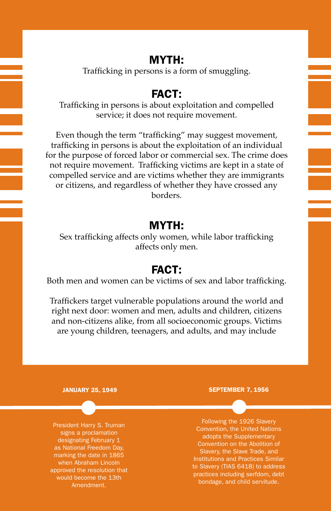# MYTH:

Trafficking in persons is a form of smuggling.

# FACT:

Trafficking in persons is about exploitation and compelled service; it does not require movement.

Even though the term "trafficking" may suggest movement, trafficking in persons is about the exploitation of an individual for the purpose of forced labor or commercial sex. The crime does not require movement. Trafficking victims are kept in a state of compelled service and are victims whether they are immigrants or citizens, and regardless of whether they have crossed any borders.

# MYTH:

Sex trafficking affects only women, while labor trafficking affects only men.

# FACT:

Both men and women can be victims of sex and labor trafficking.

Traffickers target vulnerable populations around the world and right next door: women and men, adults and children, citizens and non-citizens alike, from all socioeconomic groups. Victims are young children, teenagers, and adults, and may include

#### JANUARY 25, 1949

President Harry S. Truman signs a proclamation designating February 1 as National Freedom Day, marking the date in 1865 when Abraham Lincoln approved the resolution that would become the 13th Amendment.

#### SEPTEMBER 7, 1956

Following the 1926 Slavery Convention, the United Nations adopts the Supplementary Convention on the Abolition of Slavery, the Slave Trade, and Institutions and Practices Similar to Slavery (TIAS 6418) to address practices including serfdom, debt bondage, and child servitude.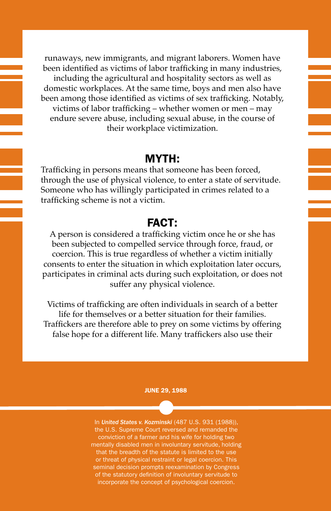runaways, new immigrants, and migrant laborers. Women have been identified as victims of labor trafficking in many industries, including the agricultural and hospitality sectors as well as domestic workplaces. At the same time, boys and men also have been among those identified as victims of sex trafficking. Notably, victims of labor trafficking – whether women or men – may endure severe abuse, including sexual abuse, in the course of their workplace victimization.

# MYTH:

Trafficking in persons means that someone has been forced, through the use of physical violence, to enter a state of servitude. Someone who has willingly participated in crimes related to a trafficking scheme is not a victim.

# FACT:

A person is considered a trafficking victim once he or she has been subjected to compelled service through force, fraud, or coercion. This is true regardless of whether a victim initially consents to enter the situation in which exploitation later occurs, participates in criminal acts during such exploitation, or does not suffer any physical violence.

Victims of trafficking are often individuals in search of a better life for themselves or a better situation for their families. Traffickers are therefore able to prey on some victims by offering false hope for a different life. Many traffickers also use their

#### JUNE 29, 1988

In *United States v. Kozminski* (487 U.S. 931 (1988)), the U.S. Supreme Court reversed and remanded the conviction of a farmer and his wife for holding two mentally disabled men in involuntary servitude, holding that the breadth of the statute is limited to the use or threat of physical restraint or legal coercion. This seminal decision prompts reexamination by Congress of the statutory definition of involuntary servitude to incorporate the concept of psychological coercion.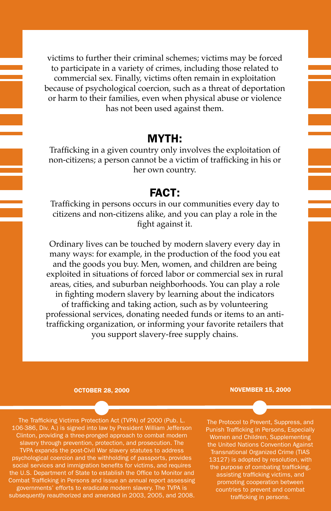victims to further their criminal schemes; victims may be forced to participate in a variety of crimes, including those related to commercial sex. Finally, victims often remain in exploitation because of psychological coercion, such as a threat of deportation or harm to their families, even when physical abuse or violence has not been used against them.

# MYTH:

Trafficking in a given country only involves the exploitation of non-citizens; a person cannot be a victim of trafficking in his or her own country.

# FACT:

Trafficking in persons occurs in our communities every day to citizens and non-citizens alike, and you can play a role in the fight against it.

Ordinary lives can be touched by modern slavery every day in many ways: for example, in the production of the food you eat and the goods you buy. Men, women, and children are being exploited in situations of forced labor or commercial sex in rural areas, cities, and suburban neighborhoods. You can play a role in fighting modern slavery by learning about the indicators of trafficking and taking action, such as by volunteering professional services, donating needed funds or items to an antitrafficking organization, or informing your favorite retailers that you support slavery-free supply chains.

#### OCTOBER 28, 2000

NOVEMBER 15, 2000

The Trafficking Victims Protection Act (TVPA) of 2000 (Pub. L. 106-386, Div. A.) is signed into law by President William Jefferson Clinton, providing a three-pronged approach to combat modern slavery through prevention, protection, and prosecution. The TVPA expands the post-Civil War slavery statutes to address psychological coercion and the withholding of passports, provides social services and immigration benefits for victims, and requires the U.S. Department of State to establish the Office to Monitor and Combat Trafficking in Persons and issue an annual report assessing governments' efforts to eradicate modern slavery. The TVPA is subsequently reauthorized and amended in 2003, 2005, and 2008.

The Protocol to Prevent, Suppress, and Punish Trafficking in Persons, Especially Women and Children, Supplementing the United Nations Convention Against Transnational Organized Crime (TIAS 13127) is adopted by resolution, with the purpose of combating trafficking, assisting trafficking victims, and promoting cooperation between countries to prevent and combat trafficking in persons.